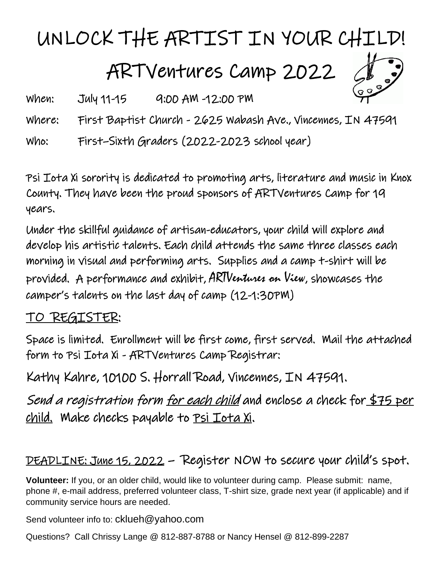## UNLOCK THE ARTIST IN YOUR CHILD!

ARTVentures Camp 2022



When: July 11-15 9:00 AM -12:00 PM

Where: First Baptist Church - 2625 Wabash Ave., Vincennes, IN 47591

Who: First–Sixth Graders (2022-2023 school year)

Psi Iota Xi sorority is dedicated to promoting arts, literature and music in Knox County. They have been the proud sponsors of ARTVentures Camp for 19 years.

Under the skillful guidance of artisan-educators, your child will explore and develop his artistic talents. Each child attends the same three classes each morning in visual and performing arts. Supplies and a camp t-shirt will be provided. A performance and exhibit, ARTVentures on View, showcases the camper's talents on the last day of camp (12-1:30PM)

## TO REGISTER:

Space is limited. Enrollment will be first come, first served. Mail the attached form to Psi Iota Xi - ARTVentures Camp Registrar:

Kathy Kahre, 10100 S. Horrall Road, Vincennes, IN 47591.

Send a registration form <u>for each child</u> and enclose a check for \$75 per child. Make checks payable to <u>Psi Iota Xi</u>.

## DEADLINE: June 15, 2022 – Register NOW to secure your child's spot.

**Volunteer:** If you, or an older child, would like to volunteer during camp. Please submit: name, phone #, e-mail address, preferred volunteer class, T-shirt size, grade next year (if applicable) and if community service hours are needed.

Send volunteer info to: cklueh@yahoo.com

Questions? Call Chrissy Lange @ 812-887-8788 or Nancy Hensel @ 812-899-2287